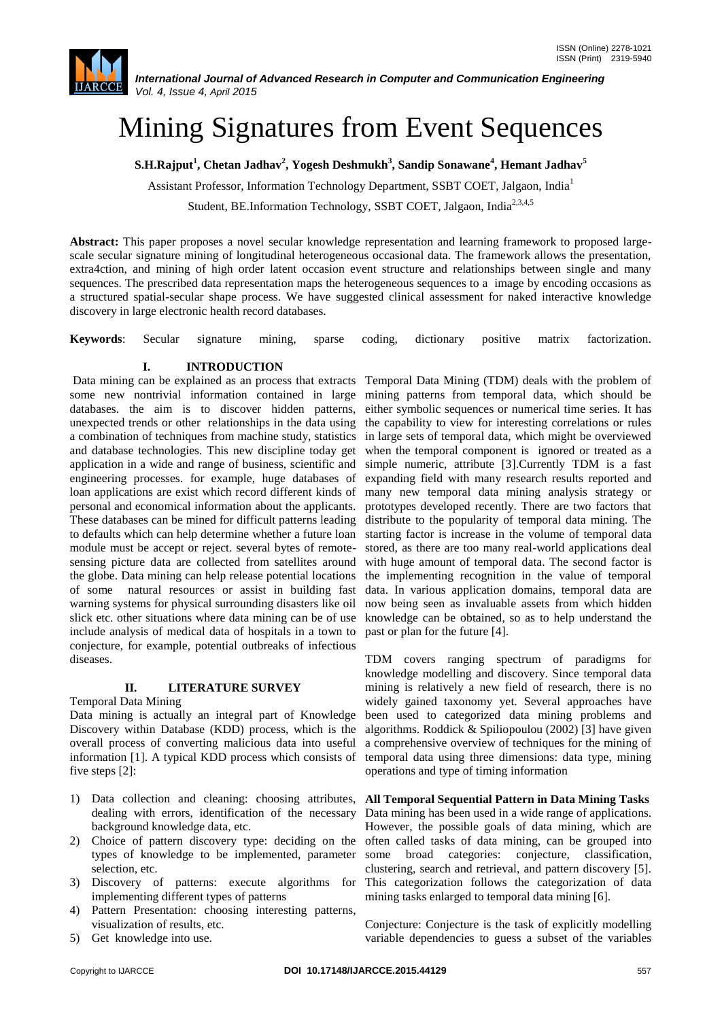# Mining Signatures from Event Sequences

**S.H.Rajput<sup>1</sup> , Chetan Jadhav<sup>2</sup> , Yogesh Deshmukh<sup>3</sup> , Sandip Sonawane<sup>4</sup> , Hemant Jadhav<sup>5</sup>**

Assistant Professor, Information Technology Department, SSBT COET, Jalgaon, India<sup>1</sup>

Student, BE.Information Technology, SSBT COET, Jalgaon, India<sup>2,3,4,5</sup>

**Abstract:** This paper proposes a novel secular knowledge representation and learning framework to proposed largescale secular signature mining of longitudinal heterogeneous occasional data. The framework allows the presentation, extra4ction, and mining of high order latent occasion event structure and relationships between single and many sequences. The prescribed data representation maps the heterogeneous sequences to a image by encoding occasions as a structured spatial-secular shape process. We have suggested clinical assessment for naked interactive knowledge discovery in large electronic health record databases.

**Keywords**: Secular signature mining, sparse coding, dictionary positive matrix factorization.

# **I. INTRODUCTION**

Data mining can be explained as an process that extracts Temporal Data Mining (TDM) deals with the problem of some new nontrivial information contained in large mining patterns from temporal data, which should be databases. the aim is to discover hidden patterns, either symbolic sequences or numerical time series. It has unexpected trends or other relationships in the data using the capability to view for interesting correlations or rules a combination of techniques from machine study, statistics in large sets of temporal data, which might be overviewed and database technologies. This new discipline today get application in a wide and range of business, scientific and engineering processes. for example, huge databases of loan applications are exist which record different kinds of many new temporal data mining analysis strategy or personal and economical information about the applicants. These databases can be mined for difficult patterns leading to defaults which can help determine whether a future loan module must be accept or reject. several bytes of remotesensing picture data are collected from satellites around the globe. Data mining can help release potential locations of some natural resources or assist in building fast warning systems for physical surrounding disasters like oil slick etc. other situations where data mining can be of use include analysis of medical data of hospitals in a town to conjecture, for example, potential outbreaks of infectious diseases.

# **II. LITERATURE SURVEY**

Temporal Data Mining

Data mining is actually an integral part of Knowledge Discovery within Database (KDD) process, which is the overall process of converting malicious data into useful information [1]. A typical KDD process which consists of five steps [2]:

- 1) Data collection and cleaning: choosing attributes, dealing with errors, identification of the necessary background knowledge data, etc.
- 2) Choice of pattern discovery type: deciding on the types of knowledge to be implemented, parameter selection, etc.
- 3) Discovery of patterns: execute algorithms for implementing different types of patterns
- 4) Pattern Presentation: choosing interesting patterns, visualization of results, etc.
- 5) Get knowledge into use.

when the temporal component is ignored or treated as a simple numeric, attribute [3].Currently TDM is a fast expanding field with many research results reported and prototypes developed recently. There are two factors that distribute to the popularity of temporal data mining. The starting factor is increase in the volume of temporal data stored, as there are too many real-world applications deal with huge amount of temporal data. The second factor is the implementing recognition in the value of temporal data. In various application domains, temporal data are now being seen as invaluable assets from which hidden knowledge can be obtained, so as to help understand the past or plan for the future [4].

TDM covers ranging spectrum of paradigms for knowledge modelling and discovery. Since temporal data mining is relatively a new field of research, there is no widely gained taxonomy yet. Several approaches have been used to categorized data mining problems and algorithms. Roddick & Spiliopoulou (2002) [3] have given a comprehensive overview of techniques for the mining of temporal data using three dimensions: data type, mining operations and type of timing information

**All Temporal Sequential Pattern in Data Mining Tasks** Data mining has been used in a wide range of applications. However, the possible goals of data mining, which are often called tasks of data mining, can be grouped into some broad categories: conjecture, classification, clustering, search and retrieval, and pattern discovery [5]. This categorization follows the categorization of data mining tasks enlarged to temporal data mining [6].

Conjecture: Conjecture is the task of explicitly modelling variable dependencies to guess a subset of the variables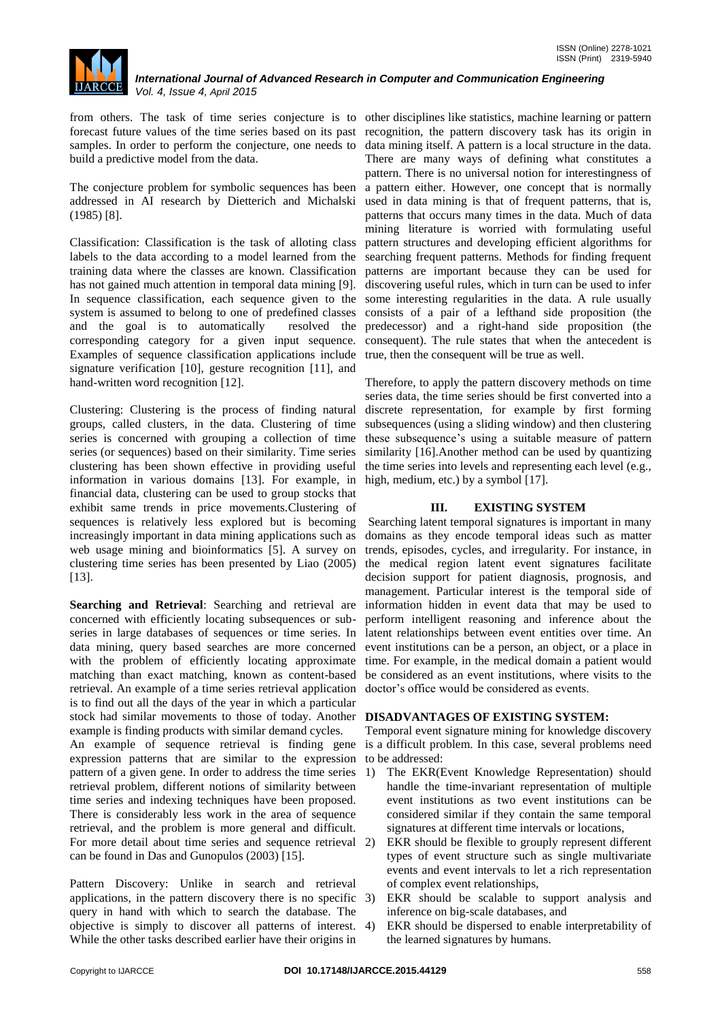

from others. The task of time series conjecture is to other disciplines like statistics, machine learning or pattern forecast future values of the time series based on its past recognition, the pattern discovery task has its origin in samples. In order to perform the conjecture, one needs to data mining itself. A pattern is a local structure in the data. build a predictive model from the data.

(1985) [8].

Classification: Classification is the task of alloting class labels to the data according to a model learned from the training data where the classes are known. Classification has not gained much attention in temporal data mining [9]. In sequence classification, each sequence given to the system is assumed to belong to one of predefined classes and the goal is to automatically resolved the corresponding category for a given input sequence. Examples of sequence classification applications include true, then the consequent will be true as well. signature verification [10], gesture recognition [11], and hand-written word recognition [12].

Clustering: Clustering is the process of finding natural groups, called clusters, in the data. Clustering of time series is concerned with grouping a collection of time series (or sequences) based on their similarity. Time series clustering has been shown effective in providing useful information in various domains [13]. For example, in financial data, clustering can be used to group stocks that exhibit same trends in price movements.Clustering of sequences is relatively less explored but is becoming increasingly important in data mining applications such as web usage mining and bioinformatics [5]. A survey on clustering time series has been presented by Liao (2005) [13].

**Searching and Retrieval**: Searching and retrieval are concerned with efficiently locating subsequences or subseries in large databases of sequences or time series. In data mining, query based searches are more concerned with the problem of efficiently locating approximate matching than exact matching, known as content-based retrieval. An example of a time series retrieval application is to find out all the days of the year in which a particular stock had similar movements to those of today. Another example is finding products with similar demand cycles. An example of sequence retrieval is finding gene

expression patterns that are similar to the expression pattern of a given gene. In order to address the time series retrieval problem, different notions of similarity between time series and indexing techniques have been proposed. There is considerably less work in the area of sequence retrieval, and the problem is more general and difficult. For more detail about time series and sequence retrieval can be found in Das and Gunopulos (2003) [15].

Pattern Discovery: Unlike in search and retrieval applications, in the pattern discovery there is no specific 3) query in hand with which to search the database. The objective is simply to discover all patterns of interest. While the other tasks described earlier have their origins in

The conjecture problem for symbolic sequences has been a pattern either. However, one concept that is normally addressed in AI research by Dietterich and Michalski used in data mining is that of frequent patterns, that is, There are many ways of defining what constitutes a pattern. There is no universal notion for interestingness of patterns that occurs many times in the data. Much of data mining literature is worried with formulating useful pattern structures and developing efficient algorithms for searching frequent patterns. Methods for finding frequent patterns are important because they can be used for discovering useful rules, which in turn can be used to infer some interesting regularities in the data. A rule usually consists of a pair of a lefthand side proposition (the predecessor) and a right-hand side proposition (the consequent). The rule states that when the antecedent is

> Therefore, to apply the pattern discovery methods on time series data, the time series should be first converted into a discrete representation, for example by first forming subsequences (using a sliding window) and then clustering these subsequence's using a suitable measure of pattern similarity [16].Another method can be used by quantizing the time series into levels and representing each level (e.g., high, medium, etc.) by a symbol [17].

# **III. EXISTING SYSTEM**

Searching latent temporal signatures is important in many domains as they encode temporal ideas such as matter trends, episodes, cycles, and irregularity. For instance, in the medical region latent event signatures facilitate decision support for patient diagnosis, prognosis, and management. Particular interest is the temporal side of information hidden in event data that may be used to perform intelligent reasoning and inference about the latent relationships between event entities over time. An event institutions can be a person, an object, or a place in time. For example, in the medical domain a patient would be considered as an event institutions, where visits to the doctor's office would be considered as events.

# **DISADVANTAGES OF EXISTING SYSTEM:**

Temporal event signature mining for knowledge discovery is a difficult problem. In this case, several problems need to be addressed:

- 1) The EKR(Event Knowledge Representation) should handle the time-invariant representation of multiple event institutions as two event institutions can be considered similar if they contain the same temporal signatures at different time intervals or locations,
- 2) EKR should be flexible to grouply represent different types of event structure such as single multivariate events and event intervals to let a rich representation of complex event relationships,
- EKR should be scalable to support analysis and inference on big-scale databases, and
- EKR should be dispersed to enable interpretability of the learned signatures by humans.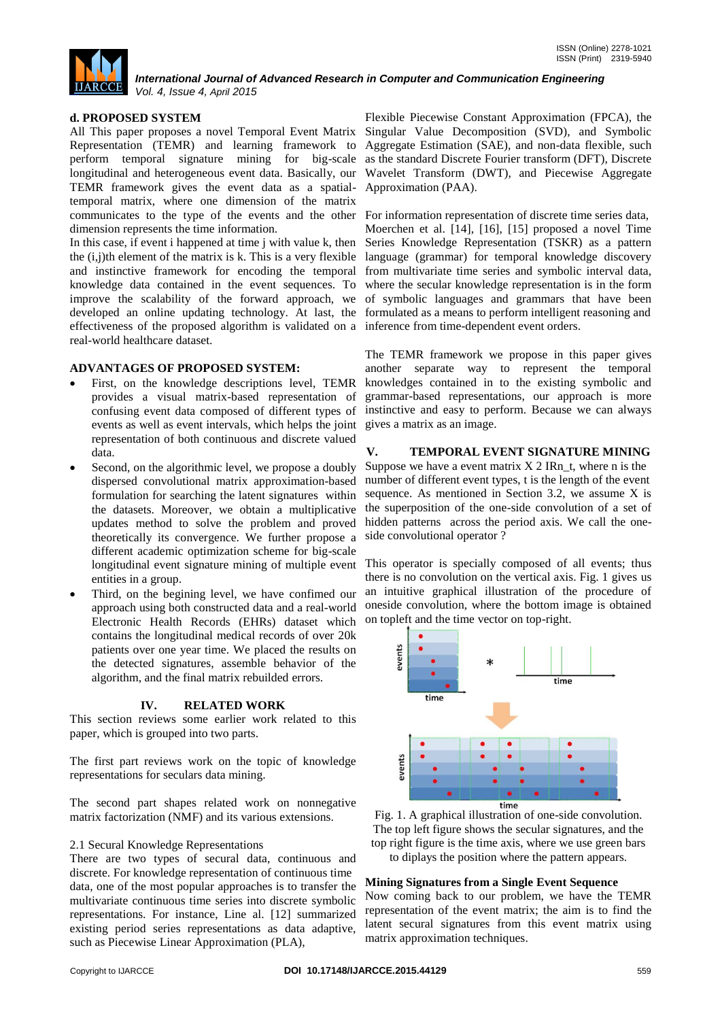

# **d. PROPOSED SYSTEM**

All This paper proposes a novel Temporal Event Matrix Singular Value Decomposition (SVD), and Symbolic Representation (TEMR) and learning framework to perform temporal signature mining for big-scale longitudinal and heterogeneous event data. Basically, our TEMR framework gives the event data as a spatialtemporal matrix, where one dimension of the matrix communicates to the type of the events and the other dimension represents the time information.

In this case, if event i happened at time j with value k, then the  $(i,j)$ th element of the matrix is k. This is a very flexible and instinctive framework for encoding the temporal knowledge data contained in the event sequences. To improve the scalability of the forward approach, we developed an online updating technology. At last, the formulated as a means to perform intelligent reasoning and effectiveness of the proposed algorithm is validated on a inference from time-dependent event orders. real-world healthcare dataset.

### **ADVANTAGES OF PROPOSED SYSTEM:**

- First, on the knowledge descriptions level, TEMR provides a visual matrix-based representation of confusing event data composed of different types of events as well as event intervals, which helps the joint representation of both continuous and discrete valued data.
- Second, on the algorithmic level, we propose a doubly dispersed convolutional matrix approximation-based formulation for searching the latent signatures within the datasets. Moreover, we obtain a multiplicative updates method to solve the problem and proved theoretically its convergence. We further propose a different academic optimization scheme for big-scale entities in a group.
- Third, on the begining level, we have confimed our approach using both constructed data and a real-world Electronic Health Records (EHRs) dataset which contains the longitudinal medical records of over 20k patients over one year time. We placed the results on the detected signatures, assemble behavior of the algorithm, and the final matrix rebuilded errors.

# **IV. RELATED WORK**

This section reviews some earlier work related to this paper, which is grouped into two parts.

The first part reviews work on the topic of knowledge representations for seculars data mining.

The second part shapes related work on nonnegative matrix factorization (NMF) and its various extensions.

### 2.1 Secural Knowledge Representations

There are two types of secural data, continuous and discrete. For knowledge representation of continuous time data, one of the most popular approaches is to transfer the multivariate continuous time series into discrete symbolic representations. For instance, Line al. [12] summarized existing period series representations as data adaptive, such as Piecewise Linear Approximation (PLA),

Flexible Piecewise Constant Approximation (FPCA), the Aggregate Estimation (SAE), and non-data flexible, such as the standard Discrete Fourier transform (DFT), Discrete Wavelet Transform (DWT), and Piecewise Aggregate Approximation (PAA).

For information representation of discrete time series data, Moerchen et al. [14], [16], [15] proposed a novel Time Series Knowledge Representation (TSKR) as a pattern language (grammar) for temporal knowledge discovery from multivariate time series and symbolic interval data, where the secular knowledge representation is in the form of symbolic languages and grammars that have been

The TEMR framework we propose in this paper gives another separate way to represent the temporal knowledges contained in to the existing symbolic and grammar-based representations, our approach is more instinctive and easy to perform. Because we can always gives a matrix as an image.

# **V. TEMPORAL EVENT SIGNATURE MINING**

Suppose we have a event matrix  $X$  2 IRn t, where n is the number of different event types, t is the length of the event sequence. As mentioned in Section 3.2, we assume X is the superposition of the one-side convolution of a set of hidden patterns across the period axis. We call the oneside convolutional operator ?

longitudinal event signature mining of multiple event This operator is specially composed of all events; thus there is no convolution on the vertical axis. Fig. 1 gives us an intuitive graphical illustration of the procedure of oneside convolution, where the bottom image is obtained on topleft and the time vector on top-right.



Fig. 1. A graphical illustration of one-side convolution. The top left figure shows the secular signatures, and the top right figure is the time axis, where we use green bars to diplays the position where the pattern appears.

### **Mining Signatures from a Single Event Sequence**

Now coming back to our problem, we have the TEMR representation of the event matrix; the aim is to find the latent secural signatures from this event matrix using matrix approximation techniques.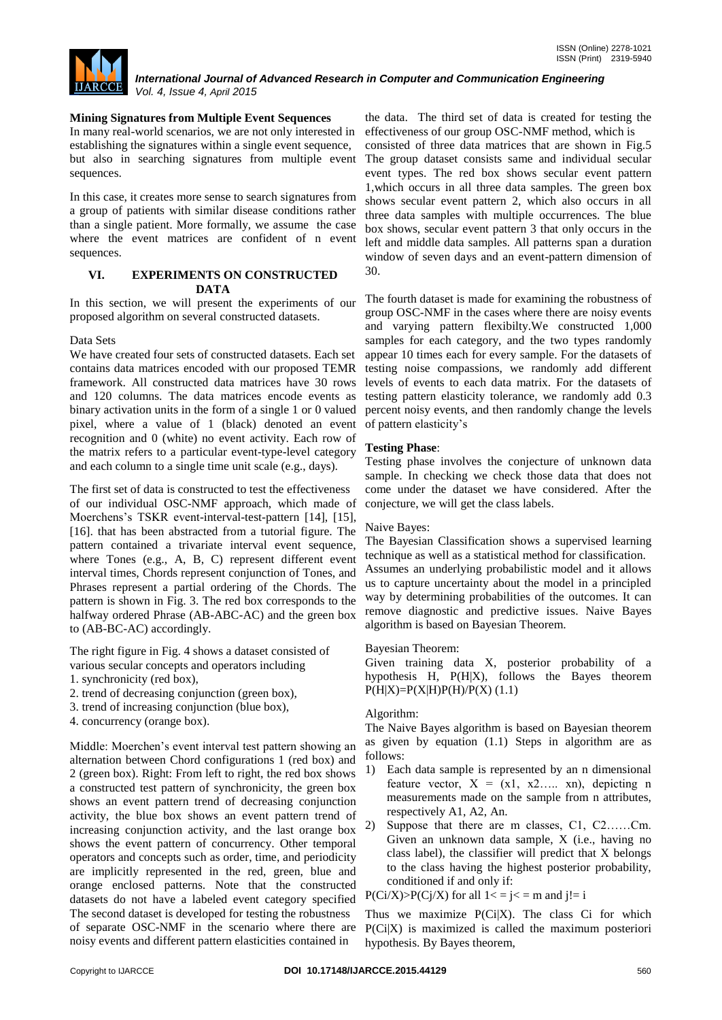

# **Mining Signatures from Multiple Event Sequences**

In many real-world scenarios, we are not only interested in establishing the signatures within a single event sequence, but also in searching signatures from multiple event sequences.

In this case, it creates more sense to search signatures from a group of patients with similar disease conditions rather than a single patient. More formally, we assume the case where the event matrices are confident of n event sequences.

# **VI. EXPERIMENTS ON CONSTRUCTED DATA**

In this section, we will present the experiments of our proposed algorithm on several constructed datasets.

### Data Sets

We have created four sets of constructed datasets. Each set contains data matrices encoded with our proposed TEMR framework. All constructed data matrices have 30 rows and 120 columns. The data matrices encode events as binary activation units in the form of a single 1 or 0 valued pixel, where a value of 1 (black) denoted an event recognition and 0 (white) no event activity. Each row of the matrix refers to a particular event-type-level category and each column to a single time unit scale (e.g., days).

The first set of data is constructed to test the effectiveness of our individual OSC-NMF approach, which made of Moerchens's TSKR event-interval-test-pattern [14], [15], [16]. that has been abstracted from a tutorial figure. The pattern contained a trivariate interval event sequence, where Tones (e.g., A, B, C) represent different event interval times, Chords represent conjunction of Tones, and Phrases represent a partial ordering of the Chords. The pattern is shown in Fig. 3. The red box corresponds to the halfway ordered Phrase (AB-ABC-AC) and the green box to (AB-BC-AC) accordingly.

The right figure in Fig. 4 shows a dataset consisted of various secular concepts and operators including

- 1. synchronicity (red box),
- 2. trend of decreasing conjunction (green box),
- 3. trend of increasing conjunction (blue box),
- 4. concurrency (orange box).

Middle: Moerchen's event interval test pattern showing an alternation between Chord configurations 1 (red box) and 2 (green box). Right: From left to right, the red box shows a constructed test pattern of synchronicity, the green box shows an event pattern trend of decreasing conjunction activity, the blue box shows an event pattern trend of increasing conjunction activity, and the last orange box shows the event pattern of concurrency. Other temporal operators and concepts such as order, time, and periodicity are implicitly represented in the red, green, blue and orange enclosed patterns. Note that the constructed datasets do not have a labeled event category specified The second dataset is developed for testing the robustness of separate OSC-NMF in the scenario where there are noisy events and different pattern elasticities contained in

the data. The third set of data is created for testing the effectiveness of our group OSC-NMF method, which is consisted of three data matrices that are shown in Fig.5 The group dataset consists same and individual secular event types. The red box shows secular event pattern 1,which occurs in all three data samples. The green box shows secular event pattern 2, which also occurs in all three data samples with multiple occurrences. The blue box shows, secular event pattern 3 that only occurs in the left and middle data samples. All patterns span a duration window of seven days and an event-pattern dimension of 30.

The fourth dataset is made for examining the robustness of group OSC-NMF in the cases where there are noisy events and varying pattern flexibilty.We constructed 1,000 samples for each category, and the two types randomly appear 10 times each for every sample. For the datasets of testing noise compassions, we randomly add different levels of events to each data matrix. For the datasets of testing pattern elasticity tolerance, we randomly add 0.3 percent noisy events, and then randomly change the levels of pattern elasticity's

### **Testing Phase**:

Testing phase involves the conjecture of unknown data sample. In checking we check those data that does not come under the dataset we have considered. After the conjecture, we will get the class labels.

### Naive Bayes:

The Bayesian Classification shows a supervised learning technique as well as a statistical method for classification. Assumes an underlying probabilistic model and it allows

us to capture uncertainty about the model in a principled way by determining probabilities of the outcomes. It can remove diagnostic and predictive issues. Naive Bayes algorithm is based on Bayesian Theorem.

### Bayesian Theorem:

Given training data X, posterior probability of a hypothesis H, P(H|X), follows the Bayes theorem  $P(H|X)=P(X|H)P(H)/P(X)$  (1.1)

# Algorithm:

The Naive Bayes algorithm is based on Bayesian theorem as given by equation (1.1) Steps in algorithm are as follows:

- 1) Each data sample is represented by an n dimensional feature vector,  $X = (x1, x2,... xn)$ , depicting n measurements made on the sample from n attributes, respectively A1, A2, An.
- 2) Suppose that there are m classes, C1, C2……Cm. Given an unknown data sample, X (i.e., having no class label), the classifier will predict that X belongs to the class having the highest posterior probability, conditioned if and only if:

 $P(Ci/X) > P(Cj/X)$  for all  $1 < j \le m$  and  $j! = i$ 

Thus we maximize P(Ci|X). The class Ci for which P(Ci|X) is maximized is called the maximum posteriori hypothesis. By Bayes theorem,